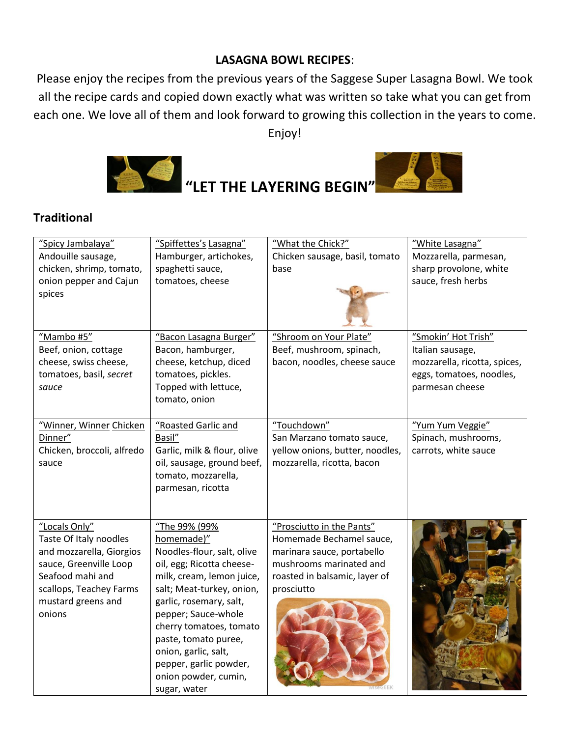## **LASAGNA BOWL RECIPES**:

Please enjoy the recipes from the previous years of the Saggese Super Lasagna Bowl. We took all the recipe cards and copied down exactly what was written so take what you can get from each one. We love all of them and look forward to growing this collection in the years to come. Enjoy!



## **Traditional**

| "Spicy Jambalaya"<br>Andouille sausage,<br>chicken, shrimp, tomato,<br>onion pepper and Cajun<br>spices                                                                      | "Spiffettes's Lasagna"<br>Hamburger, artichokes,<br>spaghetti sauce,<br>tomatoes, cheese                                                                                                                                                                                                                                                        | "What the Chick?"<br>Chicken sausage, basil, tomato<br>base                                                                                                   | "White Lasagna"<br>Mozzarella, parmesan,<br>sharp provolone, white<br>sauce, fresh herbs                               |
|------------------------------------------------------------------------------------------------------------------------------------------------------------------------------|-------------------------------------------------------------------------------------------------------------------------------------------------------------------------------------------------------------------------------------------------------------------------------------------------------------------------------------------------|---------------------------------------------------------------------------------------------------------------------------------------------------------------|------------------------------------------------------------------------------------------------------------------------|
| "Mambo #5"<br>Beef, onion, cottage<br>cheese, swiss cheese,<br>tomatoes, basil, secret<br>sauce                                                                              | "Bacon Lasagna Burger"<br>Bacon, hamburger,<br>cheese, ketchup, diced<br>tomatoes, pickles.<br>Topped with lettuce,<br>tomato, onion                                                                                                                                                                                                            | "Shroom on Your Plate"<br>Beef, mushroom, spinach,<br>bacon, noodles, cheese sauce                                                                            | "Smokin' Hot Trish"<br>Italian sausage,<br>mozzarella, ricotta, spices,<br>eggs, tomatoes, noodles,<br>parmesan cheese |
| "Winner, Winner Chicken<br>Dinner"<br>Chicken, broccoli, alfredo<br>sauce                                                                                                    | "Roasted Garlic and<br>Basil"<br>Garlic, milk & flour, olive<br>oil, sausage, ground beef,<br>tomato, mozzarella,<br>parmesan, ricotta                                                                                                                                                                                                          | "Touchdown"<br>San Marzano tomato sauce,<br>yellow onions, butter, noodles,<br>mozzarella, ricotta, bacon                                                     | "Yum Yum Veggie"<br>Spinach, mushrooms,<br>carrots, white sauce                                                        |
| "Locals Only"<br>Taste Of Italy noodles<br>and mozzarella, Giorgios<br>sauce, Greenville Loop<br>Seafood mahi and<br>scallops, Teachey Farms<br>mustard greens and<br>onions | "The 99% (99%<br>homemade)"<br>Noodles-flour, salt, olive<br>oil, egg; Ricotta cheese-<br>milk, cream, lemon juice,<br>salt; Meat-turkey, onion,<br>garlic, rosemary, salt,<br>pepper; Sauce-whole<br>cherry tomatoes, tomato<br>paste, tomato puree,<br>onion, garlic, salt,<br>pepper, garlic powder,<br>onion powder, cumin,<br>sugar, water | "Prosciutto in the Pants"<br>Homemade Bechamel sauce,<br>marinara sauce, portabello<br>mushrooms marinated and<br>roasted in balsamic, layer of<br>prosciutto |                                                                                                                        |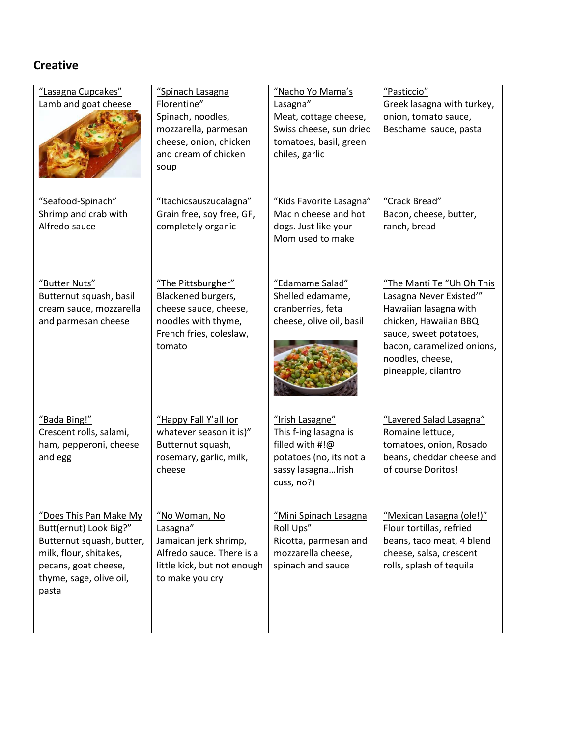## **Creative**

| "Lasagna Cupcakes"<br>Lamb and goat cheese                                                                                                                          | "Spinach Lasagna<br>Florentine"<br>Spinach, noodles,<br>mozzarella, parmesan<br>cheese, onion, chicken<br>and cream of chicken<br>soup | "Nacho Yo Mama's<br>Lasagna"<br>Meat, cottage cheese,<br>Swiss cheese, sun dried<br>tomatoes, basil, green<br>chiles, garlic | "Pasticcio"<br>Greek lasagna with turkey,<br>onion, tomato sauce,<br>Beschamel sauce, pasta                                                                                                              |
|---------------------------------------------------------------------------------------------------------------------------------------------------------------------|----------------------------------------------------------------------------------------------------------------------------------------|------------------------------------------------------------------------------------------------------------------------------|----------------------------------------------------------------------------------------------------------------------------------------------------------------------------------------------------------|
| "Seafood-Spinach"<br>Shrimp and crab with<br>Alfredo sauce                                                                                                          | "Itachicsauszucalagna"<br>Grain free, soy free, GF,<br>completely organic                                                              | "Kids Favorite Lasagna"<br>Mac n cheese and hot<br>dogs. Just like your<br>Mom used to make                                  | "Crack Bread"<br>Bacon, cheese, butter,<br>ranch, bread                                                                                                                                                  |
| "Butter Nuts"<br>Butternut squash, basil<br>cream sauce, mozzarella<br>and parmesan cheese                                                                          | "The Pittsburgher"<br>Blackened burgers,<br>cheese sauce, cheese,<br>noodles with thyme,<br>French fries, coleslaw,<br>tomato          | "Edamame Salad"<br>Shelled edamame,<br>cranberries, feta<br>cheese, olive oil, basil                                         | "The Manti Te "Uh Oh This<br>Lasagna Never Existed"<br>Hawaiian lasagna with<br>chicken, Hawaiian BBQ<br>sauce, sweet potatoes,<br>bacon, caramelized onions,<br>noodles, cheese,<br>pineapple, cilantro |
| "Bada Bing!"<br>Crescent rolls, salami,<br>ham, pepperoni, cheese<br>and egg                                                                                        | "Happy Fall Y'all (or<br>whatever season it is)"<br>Butternut squash,<br>rosemary, garlic, milk,<br>cheese                             | "Irish Lasagne"<br>This f-ing lasagna is<br>filled with #!@<br>potatoes (no, its not a<br>sassy lasagnaIrish<br>cuss, no?)   | "Layered Salad Lasagna"<br>Romaine lettuce,<br>tomatoes, onion, Rosado<br>beans, cheddar cheese and<br>of course Doritos!                                                                                |
| "Does This Pan Make My<br>Butt(ernut) Look Big?"<br>Butternut squash, butter,<br>milk, flour, shitakes,<br>pecans, goat cheese,<br>thyme, sage, olive oil,<br>pasta | "No Woman, No<br>Lasagna"<br>Jamaican jerk shrimp,<br>Alfredo sauce. There is a<br>little kick, but not enough<br>to make you cry      | "Mini Spinach Lasagna<br>Roll Ups"<br>Ricotta, parmesan and<br>mozzarella cheese,<br>spinach and sauce                       | "Mexican Lasagna (ole!)"<br>Flour tortillas, refried<br>beans, taco meat, 4 blend<br>cheese, salsa, crescent<br>rolls, splash of tequila                                                                 |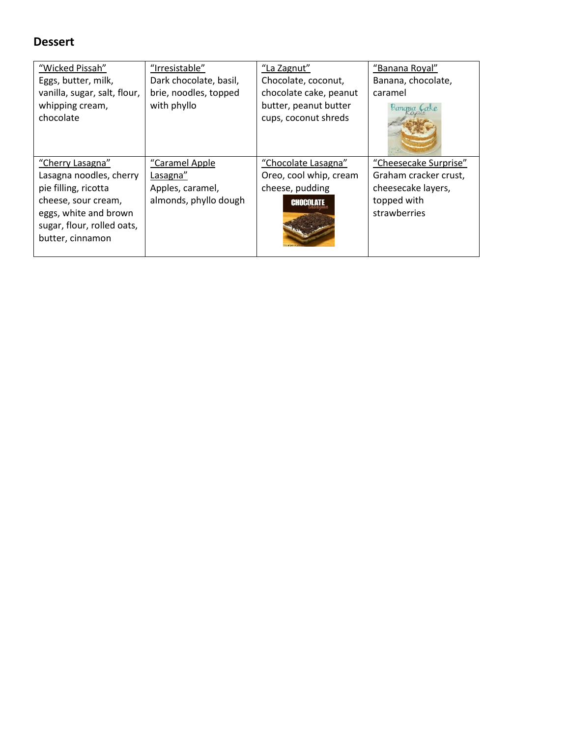## **Dessert**

| "Wicked Pissah"              | "Irresistable"         | "La Zagnut"            | "Banana Royal"        |
|------------------------------|------------------------|------------------------|-----------------------|
| Eggs, butter, milk,          | Dark chocolate, basil, | Chocolate, coconut,    | Banana, chocolate,    |
| vanilla, sugar, salt, flour, | brie, noodles, topped  | chocolate cake, peanut | caramel               |
| whipping cream,              | with phyllo            | butter, peanut butter  | Banama Cake           |
| chocolate                    |                        | cups, coconut shreds   |                       |
|                              |                        |                        |                       |
| "Cherry Lasagna"             | "Caramel Apple         | "Chocolate Lasagna"    | "Cheesecake Surprise" |
| Lasagna noodles, cherry      | Lasagna"               | Oreo, cool whip, cream | Graham cracker crust, |
| pie filling, ricotta         | Apples, caramel,       | cheese, pudding        | cheesecake layers,    |
| cheese, sour cream,          | almonds, phyllo dough  | <b>CHOCOLATE</b>       | topped with           |
| eggs, white and brown        |                        |                        | strawberries          |
| sugar, flour, rolled oats,   |                        |                        |                       |
| butter, cinnamon             |                        |                        |                       |